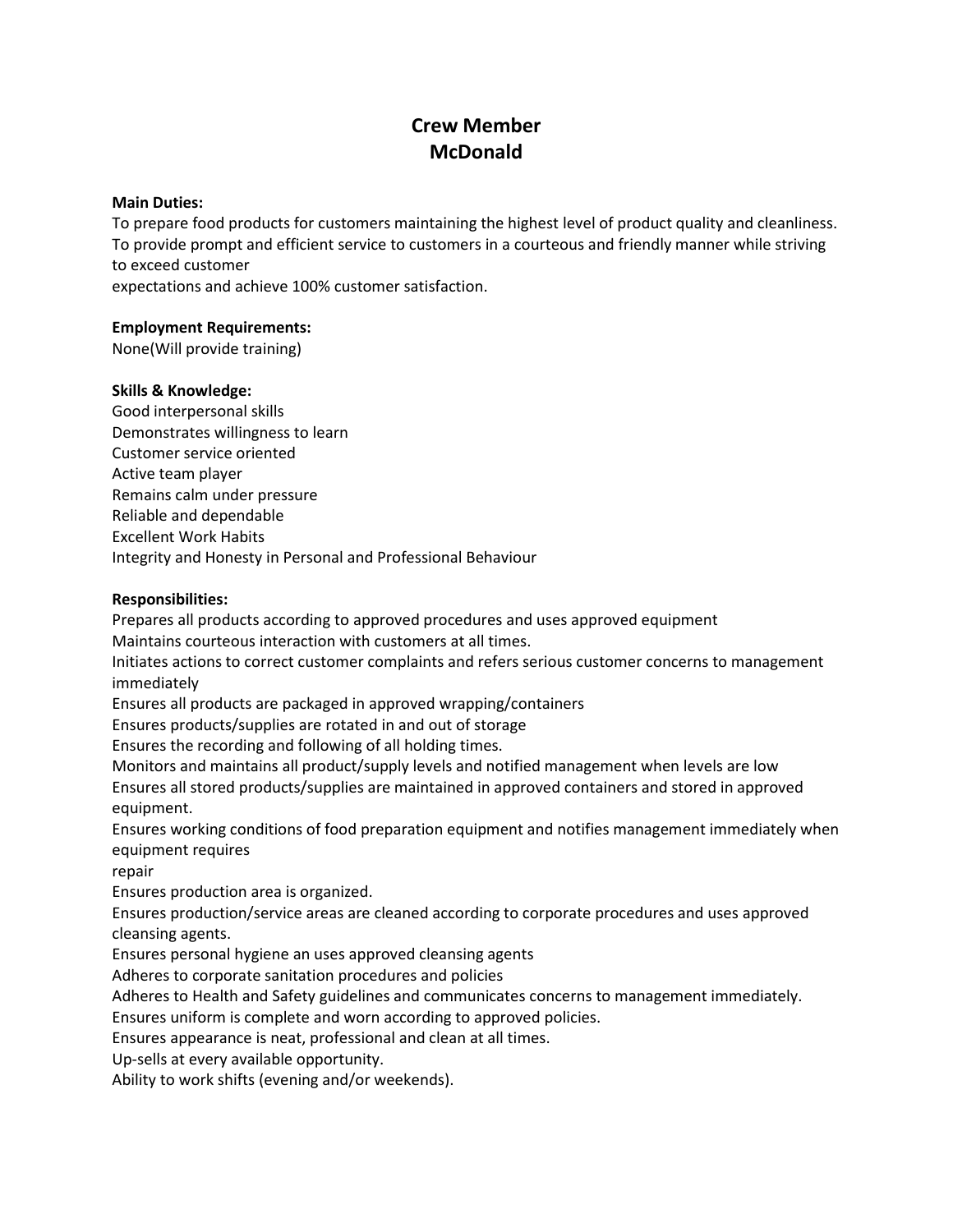# **Crew Member McDonald**

#### **Main Duties:**

To prepare food products for customers maintaining the highest level of product quality and cleanliness. To provide prompt and efficient service to customers in a courteous and friendly manner while striving to exceed customer

expectations and achieve 100% customer satisfaction.

## **Employment Requirements:**

None(Will provide training)

## **Skills & Knowledge:**

Good interpersonal skills Demonstrates willingness to learn Customer service oriented Active team player Remains calm under pressure Reliable and dependable Excellent Work Habits Integrity and Honesty in Personal and Professional Behaviour

## **Responsibilities:**

Prepares all products according to approved procedures and uses approved equipment Maintains courteous interaction with customers at all times. Initiates actions to correct customer complaints and refers serious customer concerns to management

immediately

Ensures all products are packaged in approved wrapping/containers

Ensures products/supplies are rotated in and out of storage

Ensures the recording and following of all holding times.

Monitors and maintains all product/supply levels and notified management when levels are low Ensures all stored products/supplies are maintained in approved containers and stored in approved equipment.

Ensures working conditions of food preparation equipment and notifies management immediately when equipment requires

repair

Ensures production area is organized.

Ensures production/service areas are cleaned according to corporate procedures and uses approved cleansing agents.

Ensures personal hygiene an uses approved cleansing agents

Adheres to corporate sanitation procedures and policies

Adheres to Health and Safety guidelines and communicates concerns to management immediately.

Ensures uniform is complete and worn according to approved policies.

Ensures appearance is neat, professional and clean at all times.

Up-sells at every available opportunity.

Ability to work shifts (evening and/or weekends).